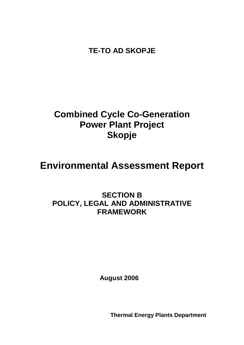**TE-TO AD SKOPJE**

# **Combined Cycle Co-Generation Power Plant Project Skopje**

# **Environmental Assessment Report**

# **SECTION B POLICY, LEGAL AND ADMINISTRATIVE FRAMEWORK**

**August 2006**

**Thermal Energy Plants Department**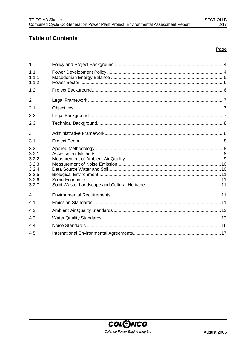# **Table of Contents**

# Page

| 1              |  |
|----------------|--|
| 1.1            |  |
| 1.1.1          |  |
| 1.1.2          |  |
| 1.2            |  |
| $\overline{2}$ |  |
| 2.1            |  |
| 2.2            |  |
| 2.3            |  |
| 3              |  |
| 3.1            |  |
| 3.2            |  |
| 3.2.1          |  |
| 3.2.2          |  |
| 3.2.3          |  |
| 3.2.4          |  |
| 3.2.5<br>3.2.6 |  |
| 3.2.7          |  |
| $\overline{4}$ |  |
| 4.1            |  |
| 4.2            |  |
| 4.3            |  |
| 4.4            |  |
| 4.5            |  |
|                |  |

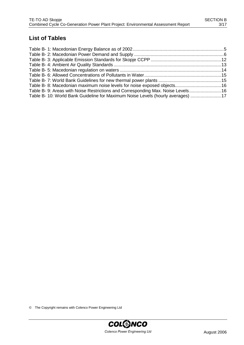# **List of Tables**

| Table B-8: Macedonian maximum noise levels for noise exposed objects16           |  |
|----------------------------------------------------------------------------------|--|
| Table B- 9: Areas with Noise Restrictions and Corresponding Max. Noise Levels 16 |  |
| Table B- 10: World Bank Guideline for Maximum Noise Levels (hourly averages) 17  |  |

© The Copyright remains with Colenco Power Engineering Ltd

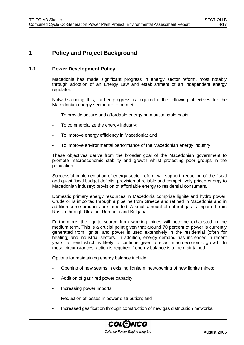# **1 Policy and Project Background**

# **1.1 Power Development Policy**

Macedonia has made significant progress in energy sector reform, most notably through adoption of an Energy Law and establishment of an independent energy regulator.

Notwithstanding this, further progress is required if the following objectives for the Macedonian energy sector are to be met:

- To provide secure and affordable energy on a sustainable basis;
- To commercialize the energy industry;
- To improve energy efficiency in Macedonia; and
- To improve environmental performance of the Macedonian energy industry.

These objectives derive from the broader goal of the Macedonian government to promote macroeconomic stability and growth whilst protecting poor groups in the population.

Successful implementation of energy sector reform will support: reduction of the fiscal and quasi fiscal budget deficits; provision of reliable and competitively priced energy to Macedonian industry; provision of affordable energy to residential consumers.

Domestic primary energy resources in Macedonia comprise lignite and hydro power. Crude oil is imported through a pipeline from Greece and refined in Macedonia and in addition some products are imported. A small amount of natural gas is imported from Russia through Ukraine, Romania and Bulgaria.

Furthermore, the lignite source from working mines will become exhausted in the medium term. This is a crucial point given that around 70 percent of power is currently generated from lignite, and power is used extensively in the residential (often for heating) and industrial sectors. In addition, energy demand has increased in recent years; a trend which is likely to continue given forecast macroeconomic growth. In these circumstances, action is required if energy balance is to be maintained.

Options for maintaining energy balance include:

- Opening of new seams in existing lignite mines/opening of new lignite mines;
- Addition of gas fired power capacity;
- Increasing power imports;
- Reduction of losses in power distribution; and
- Increased gasification through construction of new gas distribution networks.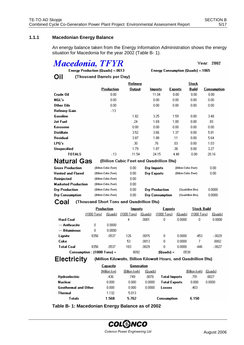# **1.1.1 Macedonian Energy Balance**

Oil

An energy balance taken from the Energy Information Administration shows the energy situation for Macedonia for the year 2002 (Table B- 1).

# **Macedonia, TFYR**

Year: 2002

Energy Consumption (Quads) = 1065

Energy Production (Quads) = 0613 (Thousand Barrels per Day)

|                    |            | Refinery      |                |                | <b>Stock</b> |             |
|--------------------|------------|---------------|----------------|----------------|--------------|-------------|
|                    | Production | <b>Output</b> | <b>Imports</b> | <b>Exports</b> | <b>Build</b> | Consumption |
| Crude Oil          | 0.00       |               | 11.04          | 0.00           | 0.00         | 0.00        |
| NGL's              | 0.00       |               | 0.00           | 0.00           | 0.00         | 0.00        |
| Other Oils         | 0.00       |               | 0.00           | 0.00           | 0.00         | 0.00        |
| Refinery Gain      | $-13$      |               |                |                |              |             |
| Gasoline           |            | 1.82          | 3.25           | 1.59           | 0.00         | 3.48        |
| <b>Jet Fuel</b>    |            | .24           | 1.69           | 1.00           | 0.00         | .93         |
| Kerosene           |            | 0.00          | 0.00           | 0.00           | 0.00         | 0.00        |
| <b>Distillate</b>  |            | 3.52          | 3.66           | 1.37           | 0.00         | 5.81        |
| <b>Residual</b>    |            | 3.87          | 1.88           | .11            | 0.00         | 5.64        |
| LPG's              |            | .30           | .76            | .03            | 0.00         | 1.03        |
| <b>Unspecified</b> |            | 1.79          | 1.87           | .38            | 0.00         | 3.27        |
| <b>TOTALS</b>      | $-13$      | 11.54         | 24.15          | 4.48           | 0.00         | 20.16       |

| <b>Natural Gas</b> |  |
|--------------------|--|
|--------------------|--|

(Billion Cubic Feet and Quadrillion Btu)

| <b>Gross Production</b>    | (Billion Cubic Feet)  | 0.00  | Dry Imports           | (Billion Cubic Feet) | 0.00   |
|----------------------------|-----------------------|-------|-----------------------|----------------------|--------|
| <b>Vented and Flared</b>   | (Billion Cubic Feet)  | 0.00  | Dry Exports           | (Billion Cubic Feet) | 0.00   |
| Reinjected                 | (Billion Cubic Feet)  | 0.00. |                       |                      |        |
| <b>Marketed Production</b> | (Billion Cubic Feet)  | 0.00  |                       |                      |        |
| Dry Production             | (Billion Cubic Feet)  | 0.00  | <b>Drv Production</b> | (Quadrillion Btu)    | 0.0000 |
| Dry Consumption            | (Billion Cubic Feet). | 0.00  | Dry Consumption       | (Quadrillion Btu)    | 0.0000 |

Coal (Thousand Short Tons and Quadrillion Btu)

|                  | Production                    |         | <b>Imports</b> |         | <b>Exports</b> |         | Stock Build |         |
|------------------|-------------------------------|---------|----------------|---------|----------------|---------|-------------|---------|
|                  | $[1000$ Tons]                 | (Quads) | $(1000$ Tons   | (Quads) | $(1000$ Tons   | (Quads) | (1000 Tons) | (Quads) |
| <b>Hard Coal</b> |                               |         | 4              | .0001   | 0              | 0.0000  | 0           | 0.0000  |
| --- Anthracite   | ۵                             | 0.0000  |                |         |                |         |             |         |
| --- Bituminous   | 0                             | 0.0000  |                |         |                |         |             |         |
| Lignite          | 8356                          | .0537   | 126            | .0015   | 0              | 0.0000  | $-453$      | $-0029$ |
| Coke             |                               |         | 53             | .0013   | 0              | 0.0000  | 7           | .0002   |
| Total Coal       | 8356                          | .0537   | 183            | .0029   | 0              | 0.0000  | $-446$      | $-0027$ |
|                  | Consumption : $(1000$ Tons) = |         | 8092           |         | (Quads) =      | .0538   |             |         |

**Electricity** 

(Million Kilowatts, Billion Kilowatt Hours, and Quadrillion Btu)

|                      | Capacity     | Generation    |             |                      |               |         |
|----------------------|--------------|---------------|-------------|----------------------|---------------|---------|
|                      | (Million kw) | (Billion kwh) | (Quads)     |                      | (Billion kwh) | (Quads) |
| <b>Hydroelectric</b> | .436         | .749          | .0076       | <b>Total Imports</b> | .791          | .0027   |
| <b>Nuclear</b>       | 0.000        | 0.000         | 0.0000      | <b>Total Exports</b> | 0.000         | 0.0000  |
| Geothermal and Other | 0.000        | 0.000         | 0.0000      | Losses               | .403          |         |
| Thermal              | 1.132        | 5.013         |             |                      |               |         |
| T otals              | 1.568        | 5.762         | Consumption |                      | 6.150         |         |

**Table B- 1: Macedonian Energy Balance as of 2002**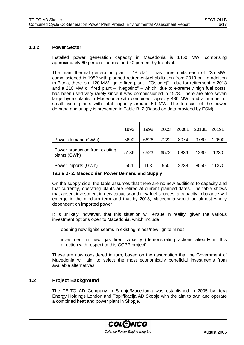#### **1.1.2 Power Sector**

Installed power generation capacity in Macedonia is 1450 MW, comprising approximately 60 percent thermal and 40 percent hydro plant.

The main thermal generation plant – "Bitola" – has three units each of 225 MW, commissioned in 1982 with planned retirement/rehabilitation from 2013 on. In addition to Bitola, there is a 120 MW lignite fired plant – "Oslomej" – due for retirement in 2013 and a 210 MW oil fired plant – "Negotino" – which, due to extremely high fuel costs, has been used very rarely since it was commissioned in 1978. There are also seven large hydro plants in Macedonia with combined capacity 480 MW, and a number of small hydro plants with total capacity around 50 MW. The forecast of the power demand and supply is presented in Table B- 2 (Based on data provided by ESM).

|                                                | 1993 | 1998 | 2003 | 2008E | 2013E | 2019E |
|------------------------------------------------|------|------|------|-------|-------|-------|
| Power demand (GWh)                             | 5690 | 6626 | 7222 | 8074  | 9780  | 12600 |
| Power production from existing<br>plants (GWh) | 5136 | 6523 | 6572 | 5836  | 1230  | 1230  |
| Power imports (GWh)                            | 554  | 103  | 950  | 2238  | 8550  | 11370 |

#### **Table B- 2: Macedonian Power Demand and Supply**

On the supply side, the table assumes that there are no new additions to capacity and that currently, operating plants are retired at current planned dates. The table shows that absent investment in new capacity and new fuel sources, a capacity imbalance will emerge in the medium term and that by 2013, Macedonia would be almost wholly dependent on imported power.

It is unlikely, however, that this situation will ensue in reality, given the various investment options open to Macedonia, which include:

- opening new lignite seams in existing mines/new lignite mines
- investment in new gas fired capacity (demonstrating actions already in this direction with respect to this CCPP project)

These are now considered in turn, based on the assumption that the Government of Macedonia will aim to select the most economically beneficial investments from available alternatives.

# **1.2 Project Background**

The TE-TO AD Company in Skopje/Macedonia was established in 2005 by Itera Energy Holdings London and Toplifikacija AD Skopje with the aim to own and operate a combined heat and power plant in Skopje.

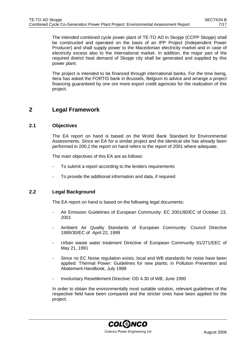The intended combined cycle power plant of TE-TO AD in Skopje (CCPP Skopje) shall be constructed and operated on the basis of an IPP Project (Independent Power Producer) and shall supply power to the Macedonian electricity market and in case of electricity excess also to the international market. In addition, the major part of the required district heat demand of Skopje city shall be generated and supplied by this power plant.

The project is intended to be financed through international banks. For the time being, Itera has asked the FORTIS bank in Brussels, Belgium to advice and arrange a project financing guaranteed by one ore more export credit agencies for the realization of this project.

# **2 Legal Framework**

# **2.1 Objectives**

The EA report on hand is based on the World Bank Standard for Environmental Assessments. Since an EA for a similar project and the identical site has already been performed in 200,1 the report on hand refers to the report of 2001 where adequate.

The main objectives of this EA are as follows:

- To submit a report according to the lenders requirements
- To provide the additional information and data, if required

# **2.2 Legal Background**

The EA report on hand is based on the following legal documents:

- Air Emission Guidelines of European Community: EC 2001/80/EC of October 23, 2001
- Ambient Air Quality Standards of European Community: Council Directive 1999/30/EC of April 22, 1999
- Urban waste water treatment Directive of European Community 91/271/EEC of May 21, 1991
- Since no EC Noise regulation exists, local and WB standards for noise have been applied: Thermal Power: Guidelines for new plants; in Pollution Prevention and Abatement Handbook, July 1998
- Involuntary Resettlement Directive: OD 4.30 of WB; June 1990

In order to obtain the environmentally most suitable solution, relevant guidelines of the respective field have been compared and the stricter ones have been applied for the project.

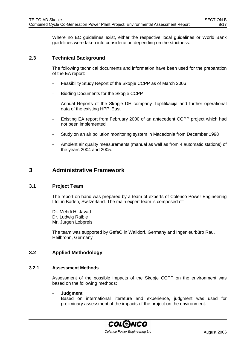Where no EC guidelines exist, either the respective local guidelines or World Bank guidelines were taken into consideration depending on the strictness.

# **2.3 Technical Background**

The following technical documents and information have been used for the preparation of the EA report:

- Feasibility Study Report of the Skopje CCPP as of March 2006
- Bidding Documents for the Skopje CCPP
- Annual Reports of the Skopje DH company Toplifikacija and further operational data of the existing HPP 'East'
- Existing EA report from February 2000 of an antecedent CCPP project which had not been implemented
- Study on an air pollution monitoring system in Macedonia from December 1998
- Ambient air quality measurements (manual as well as from 4 automatic stations) of the years 2004 and 2005.

# **3 Administrative Framework**

# **3.1 Project Team**

The report on hand was prepared by a team of experts of Colenco Power Engineering Ltd. in Baden, Switzerland. The main expert team is composed of:

Dr. Mehdi H. Javad Dr. Ludwig Raible Mr. Jürgen Lobpreis

The team was supported by GefaÖ in Walldorf, Germany and Ingenieurbüro Rau, Heilbronn, Germany

## **3.2 Applied Methodology**

#### **3.2.1 Assessment Methods**

Assessment of the possible impacts of the Skopje CCPP on the environment was based on the following methods:

#### - **Judgment**

Based on international literature and experience, judgment was used for preliminary assessment of the impacts of the project on the environment.

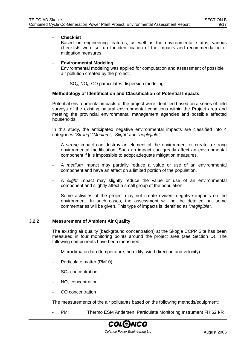#### - **Checklist**

Based on engineering features, as well as the environmental status, various checklists were set up for identification of the impacts and recommendation of mitigation measures.

## - **Environmental Modeling**

Environmental modeling was applied for computation and assessment of possible air pollution created by the project.

 $SO<sub>2</sub>$ , NO<sub>x</sub>, CO particulates dispersion modeling

#### **Methodology of Identification and Classification of Potential Impacts:**

Potential environmental impacts of the project were identified based on a series of field surveys of the existing natural environmental conditions within the Project area and meeting the provincial environmental management agencies and possible affected households.

In this study, the anticipated negative environmental impacts are classified into 4 categories "Strong" "Medium", "Slight" and "negligible"

- A strong impact can destroy an element of the environment or create a strong environmental modification. Such an impact can greatly affect an environmental component if it is impossible to adopt adequate mitigation measures.
- A medium impact may partially reduce a value or use of an environmental component and have an affect on a limited portion of the population.
- A slight impact may slightly reduce the value or use of an environmental component and slightly affect a small group of the population.
- Some activities of the project may not create evident negative impacts on the environment. In such cases, the assessment will not be detailed but some commentaries will be given. This type of impacts is identified as "negligible".

#### **3.2.2 Measurement of Ambient Air Quality**

The existing air quality (background concentration) at the Skopje CCPP Site has been measured in four monitoring points around the project area (see Section D). The following components have been measured:

- Microclimatic data (temperature, humidity, wind direction and velocity)
- Particulate matter (PM10)
- SO<sub>2</sub> concentration
- $NO<sub>2</sub>$  concentration
- CO concentration

The measurements of the air pollutants based on the following methods/equipment:

PM: Thermo ESM Andersen; Particulate Monitoring Instrument FH 62 I-R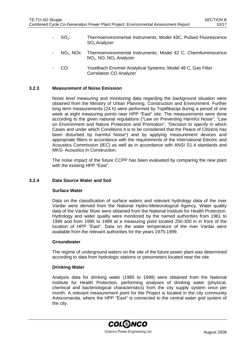- SO<sub>2</sub>: Thermoenvironmental Instruments; Model 43C, Pulsed Fluorescence SO<sub>2</sub> Analyzer
- NO2, NOx: Thermoenvironmental Instruments; Model 42 C, Chemiluminiscence NO<sub>x</sub>, NO, NO<sub>2</sub> Analyzer
- CO: Ysselbach Envimet Analytical Systems; Model 48 C, Gas Filter Correlation CO Analyzer

#### **3.2.3 Measurement of Noise Emission**

Noise level measuring and monitoring data regarding the background situation were obtained from the Ministry of Urban Planning, Construction and Environment. Further long term measurements (24 h) were performed by Toplifikacija during a period of one week at eight measuring points near HPP "East" site. The measurements were done according to the given national regulations ("Law on Preventing Harmful Noise", "Law on Environment and Nature Protection and Promotion", "Decision to specify in which Cases and under which Conditions it is to be considered that the Peace of Citizens has been disturbed by harmful Noise") and by applying measurement devices and appropriate filters in accordance with the requirements of the International Electric and Acoustics Commission (IEC) as well as in accordance with ANSI S1.4 standards and MKS- Acoustics in Construction.

The noise impact of the future CCPP has been evaluated by comparing the new plant with the existing HPP "East".

#### **3.2.4 Data Source Water and Soil**

#### **Surface Water**

Data on the classification of surface waters and relevant hydrology data of the river Vardar were derived from the National Hydro-Meteorological Agency. Water quality data of the Vardar River were obtained from the National Institute for Health Protection. Hydrology and water quality were monitored by the named authorities from 1961 to 1999 and from 1995 to 1999 at a measuring point located 250-300 m in front of the location of HPP "East". Data on the water temperature of the river Vardar were available from the relevant authorities for the years 1975-1999.

#### **Groundwater**

The regime of underground waters on the site of the future power plant was determined according to data from hydrologic stations or piesometers located near the site.

#### **Drinking Water**

Analysis data for drinking water (1995 to 1999) were obtained from the National Institute for Health Protection, performing analyses of drinking water (physical, chemical and bacteriological characteristics) from the city supply system once per month. A relevant measurement point for the Project is located in the city community Avtocomanda, where the HPP "East" is connected to the central water grid system of the city.

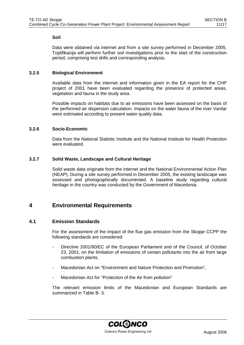## **Soil**

Data were obtained via internet and from a site survey performed in December 2005. Toplifikacija will perform further soil investigations prior to the start of the construction period, comprising test drills and corresponding analysis.

# **3.2.5 Biological Environment**

Available data from the internet and information given in the EA report for the CHP project of 2001 have been evaluated regarding the presence of protected areas, vegetation and fauna in the study area.

Possible impacts on habitats due to air emissions have been assessed on the basis of the performed air dispersion calculation. Impacts on the water fauna of the river Vardar were estimated according to present water quality data.

# **3.2.6 Socio-Economic**

Data from the National Statistic Institute and the National Institute for Health Protection were evaluated.

# **3.2.7 Solid Waste, Landscape and Cultural Heritage**

Solid waste data originate from the internet and the National Environmental Action Plan (NEAP). During a site survey performed in December 2005, the existing landscape was assessed and photographically documented. A baseline study regarding cultural heritage in the country was conducted by the Government of Macedonia.

# **4 Environmental Requirements**

# **4.1 Emission Standards**

For the assessment of the impact of the flue gas emission from the Skopje CCPP the following standards are considered:

- Directive 2001/80/EC of the European Parliament and of the Council: of October 23, 2001; on the limitation of emissions of certain pollutants into the air from large combustion plants,
- Macedonian Act on "Environment and Nature Protection and Promotion",
- Macedonian Act for "Protection of the Air from pollution"

The relevant emission limits of the Macedonian and European Standards are summarized in Table B- 3.

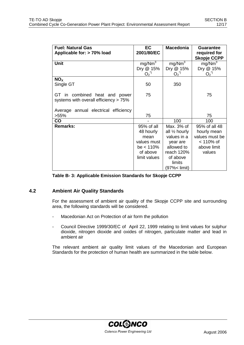| <b>Fuel: Natural Gas</b>              | <b>EC</b>            | <b>Macedonia</b>         | <b>Guarantee</b>                   |
|---------------------------------------|----------------------|--------------------------|------------------------------------|
| Applicable for: > 70% load            | 2001/80/EC           |                          | required for<br><b>Skopje CCPP</b> |
| Unit                                  | mg/Nm <sup>3</sup>   | mg/Nm <sup>3</sup>       | mg/Nm <sup>3</sup>                 |
|                                       | Dry @ 15%            | Dry @ 15%                | Dry @ 15%                          |
|                                       | $O_2^{\prime\prime}$ | $O_2^{\prime\prime}$     | $O_2^{\prime\prime}$               |
| NO <sub>x</sub>                       |                      |                          |                                    |
| Single GT                             | 50                   | 350                      |                                    |
|                                       |                      |                          |                                    |
| GT in combined heat and power         | 75                   |                          | 75                                 |
| systems with overall efficiency > 75% |                      |                          |                                    |
|                                       |                      |                          |                                    |
| Average annual electrical efficiency  |                      |                          |                                    |
| >55%                                  | 75                   |                          | 75                                 |
| <b>CO</b>                             |                      | 100                      | 100                                |
| <b>Remarks:</b>                       | 95% of all           | Max. 3% of               | 95% of all 48                      |
|                                       | 48 hourly            | all $\frac{1}{2}$ hourly | hourly mean                        |
|                                       | mean                 | values in a              | values must be                     |
|                                       | values must          | year are                 | $< 110\%$ of                       |
|                                       | $be < 110\%$         | allowed to               | above limit                        |
|                                       | of above             | reach 120%               | values                             |
|                                       | limit values         | of above                 |                                    |
|                                       |                      | limits                   |                                    |
|                                       |                      | (97%< limit)             |                                    |

## **Table B- 3: Applicable Emission Standards for Skopje CCPP**

# **4.2 Ambient Air Quality Standards**

For the assessment of ambient air quality of the Skopje CCPP site and surrounding area, the following standards will be considered.

- Macedonian Act on Protection of air form the pollution
- Council Directive 1999/30/EC of April 22, 1999 relating to limit values for sulphur dioxide, nitrogen dioxide and oxides of nitrogen, particulate matter and lead in ambient air

The relevant ambient air quality limit values of the Macedonian and European Standards for the protection of human health are summarized in the table below.

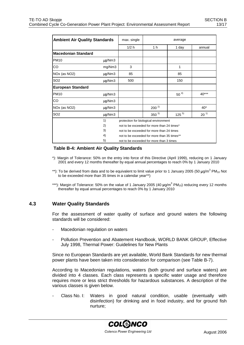| <b>Ambient Air Quality Standards</b> |             | max. single                               | average                                     |           |                 |  |  |
|--------------------------------------|-------------|-------------------------------------------|---------------------------------------------|-----------|-----------------|--|--|
|                                      |             | 1/2 h                                     | 1 h                                         | 1 day     | annual          |  |  |
| <b>Macedonian Standard</b>           |             |                                           |                                             |           |                 |  |  |
| <b>PM10</b>                          | µg/Nm3      |                                           |                                             |           |                 |  |  |
| CO                                   | mg/Nm3      | 3                                         |                                             | 1         |                 |  |  |
| NOx (as NO2)                         | µg/Nm3      | 85                                        |                                             | 85        |                 |  |  |
| SO <sub>2</sub>                      | $\mu$ g/Nm3 | 500                                       |                                             | 150       |                 |  |  |
| <b>European Standard</b>             |             |                                           |                                             |           |                 |  |  |
| <b>PM10</b>                          | µg/Nm3      |                                           |                                             | $50^{4}$  | 40***           |  |  |
| CO                                   | $\mu$ g/Nm3 |                                           |                                             |           |                 |  |  |
| NOx (as NO2)                         | $\mu$ g/Nm3 |                                           | $200^{2}$                                   |           | $40*$           |  |  |
| SO <sub>2</sub>                      | µg/Nm3      |                                           | $350^{3}$                                   | $125^{5}$ | 20 <sup>1</sup> |  |  |
|                                      | 1)          |                                           | protection for biological environment       |           |                 |  |  |
|                                      | 2)          |                                           | not to be exceeded for more than 24 times*  |           |                 |  |  |
|                                      | 3)          | not to be exceeded for more than 24 times |                                             |           |                 |  |  |
|                                      | 4)          |                                           | not to be exceeded for more than 35 times** |           |                 |  |  |
|                                      | 5)          |                                           | not to be exceeded for more than 3 times    |           |                 |  |  |

#### **Table B-4: Ambient Air Quality Standards**

- \*): Margin of Tolerance: 50% on the entry into force of this Directive (April 1999), reducing on 1 January 2001 and every 12 months thereafter by equal annual percentages to reach 0% by 1 January 2010
- \*\*): To be derived from data and to be equivalent to limit value prior to 1 January 2005 (50  $\mu$ g/m<sup>3</sup> PM<sub>10</sub> Not to be exceeded more than 35 times in a calendar year\*\*)
- \*\*\*): Margin of Tolerance: 50% on the value of 1 January 2005 (40  $\mu$ g/m<sup>3</sup> PM<sub>10</sub>) reducing every 12 months thereafter by equal annual percentages to reach 0% by 1 January 2010

## **4.3 Water Quality Standards**

For the assessment of water quality of surface and ground waters the following standards will be considered:

- Macedonian regulation on waters
- Pollution Prevention and Abatement Handbook, WORLD BANK GROUP, Effective July 1998, Thermal Power: Guidelines for New Plants

Since no European Standards are yet available, World Bank Standards for new thermal power plants have been taken into consideration for comparison (see Table B-7).

According to Macedonian regulations, waters (both ground and surface waters) are divided into 4 classes. Each class represents a specific water usage and therefore requires more or less strict thresholds for hazardous substances. A description of the various classes is given below.

- Class No. I: Waters in good natural condition, usable (eventually with disinfection) for drinking and in food industry, and for ground fish nurture;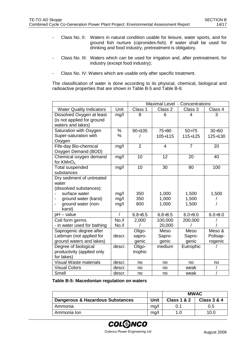- Class No. II: Waters in natural condition usable for leisure, water sports, and for ground fish nurture (cipronides-fish). If water shall be used for drinking and food industry, pretreatment is obligatory.
- Class No. III: Waters which can be used for irrigation and, after pretreatment, for industry (except food industry);
- Class No. IV: Waters which are usable only after specific treatment.

The classification of water is done according to its physical, chemical, biological and radioactive properties that are shown in Table B-5 and Table B-6:

|                                          |                | Maximal Level - Concentrations |                |                |                |  |
|------------------------------------------|----------------|--------------------------------|----------------|----------------|----------------|--|
| <b>Water Quality Indicators</b>          | Unit           | Class 1                        | Class 2        | Class 3        | Class 4        |  |
| Dissolved Oxygen at least                | mg/l           | 8                              | 6              | 4              | 3              |  |
| (is not applied for ground               |                |                                |                |                |                |  |
| waters and lakes)                        |                |                                |                |                |                |  |
| Saturation with Oxygen                   | $\%$           | $90 \div 105$                  | $75 \div 90$   | $50 + 75$      | $30 + 50$      |  |
| Super-saturation with                    | %              |                                | $105 \div 115$ | $115 \div 125$ | $125 \div 130$ |  |
| Oxygen                                   |                |                                |                |                |                |  |
| Fife-day Bio-chemical                    | mg/l           | $\overline{2}$                 | $\overline{4}$ | $\overline{7}$ | 20             |  |
| Oxygen Demand (BOD)                      |                |                                |                |                |                |  |
| Chemical oxygen demand                   | mg/l           | 10                             | 12             | 20             | 40             |  |
| for KMnO <sub>4</sub>                    |                |                                |                |                |                |  |
| <b>Total suspended</b>                   | mg/l           | 10                             | 30             | 80             | 100            |  |
| substances                               |                |                                |                |                |                |  |
| Dry sediment of untreated                |                |                                |                |                |                |  |
| water                                    |                |                                |                |                |                |  |
| (dissolved substances):<br>surface water |                | 350                            |                |                |                |  |
| ground water (karst)                     | mg/l           | 350                            | 1,000<br>1,000 | 1,500<br>1,500 | 1,500          |  |
| ground water (non-                       | mg/l<br>mg/l   | 800                            | 1,000          | 1,500          |                |  |
| karst)                                   |                |                                |                |                |                |  |
| $pH - value$                             | $\overline{1}$ | $6.8 + 8.5$                    | $6.8 + 8.5$    | $6.0 + 9.0$    | $6.0 + 9.0$    |  |
| Coli form germs                          | No. / I        | 2,000                          | 100,000        | 200,000        |                |  |
| - in water used for bathing              | No. / I        |                                | 20,000         |                |                |  |
| Saprogenic degree after                  |                | Oligo-                         | Meso           | Meso           | Meso &         |  |
| Liebman (not applied for                 | descr.         | sapro-                         | Sapro-         | Sapro-         | Polisap-       |  |
| ground waters and lakes)                 |                | genic                          | genic          | genic          | rogenic        |  |
| Degree of biological                     | descr.         | Oligo-                         | medium         | Eutrophic      |                |  |
| productivity (applied only               |                | trophic                        |                |                |                |  |
| for lakes)                               |                |                                |                |                |                |  |
| <b>Visual Waste materials</b>            | descr.         | no                             | no             | no             | no             |  |
| <b>Visual Colors</b>                     | descr.         | no                             | no             | weak           |                |  |
| Smell                                    | descr.         | no                             | no             | weak           |                |  |

**Table B-5: Macedonian regulation on waters**

|                                  |      | <b>MWAC</b>            |                        |  |  |
|----------------------------------|------|------------------------|------------------------|--|--|
| Dangerous & Hazardous Substances | Unit | <b>Class 1 &amp; 2</b> | <b>Class 3 &amp; 4</b> |  |  |
| Ammonia                          | mq/l |                        | 0.5                    |  |  |
| Ammonia Ion                      | mq/1 |                        | 10.0                   |  |  |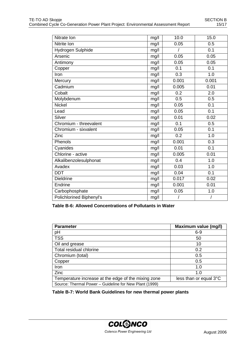| Nitrate Ion              | mg/l | 10.0  | 15.0             |  |
|--------------------------|------|-------|------------------|--|
| Nitrite Ion              | mg/l | 0.05  | 0.5              |  |
| Hydrogen Sulphide        | mg/l |       | 0.1              |  |
| Arsenic                  |      | 0.05  | 0.05             |  |
| Antimony                 | mg/l | 0.05  | 0.05             |  |
| Copper                   | mg/l | 0.1   | 0.1              |  |
| Iron                     | mg/l | 0.3   | 1.0              |  |
| Mercury                  | mg/l | 0.001 | 0.001            |  |
| Cadmium                  | mg/l | 0.005 | 0.01             |  |
| Cobalt                   | mg/l | 0.2   | 2.0              |  |
| Molybdenum               | mg/l | 0.5   | 0.5              |  |
| <b>Nickel</b>            | mg/l | 0.05  | 0.1              |  |
| Lead                     | mg/l | 0.05  | $\overline{0.1}$ |  |
| Silver                   | mg/l | 0.01  | 0.02             |  |
| Chromium - threevalent   | mg/l | 0.1   | 0.5              |  |
| Chromium - sixvalent     | mg/l | 0.05  | 0.1              |  |
| Zinc                     | mg/l | 0.2   | 1.0              |  |
| Phenols                  | mg/l | 0.001 | 0.3              |  |
| Cyanides                 | mg/l | 0.01  | 0.1              |  |
| Chlorine - active        | mg/l | 0.005 | 0.01             |  |
| Alkalibenzolesulphonat   | mg/l | 0.4   | 1.0              |  |
| Avadex                   | mg/l | 0.03  | 1.0              |  |
| <b>DDT</b>               | mg/l | 0.04  | 0.1              |  |
| <b>Dieldrine</b>         | mg/l | 0.017 | 0.02             |  |
| Endrine                  | mg/l | 0.001 | 0.01             |  |
| Carbophosphate           | mg/l | 0.05  | 1.0              |  |
| Polichlorined Biphenyl's |      |       |                  |  |

**Table B-6: Allowed Concentrations of Pollutants in Water**

| <b>Parameter</b>                                       | Maximum value (mg/l)   |
|--------------------------------------------------------|------------------------|
| pH                                                     | $6 - 9$                |
| <b>TSS</b>                                             | 50                     |
| Oil and grease                                         | 10                     |
| Total residual chlorine                                | 0.2                    |
| Chromium (total)                                       | 0.5                    |
| Copper                                                 | 0.5                    |
| Iron                                                   | 1.0                    |
| Zinc                                                   | 1.0                    |
| Temperature increase at the edge of the mixing zone    | less than or equal 3°C |
| Source: Thermal Power - Guideline for New Plant (1999) |                        |

**Table B-7: World Bank Guidelines for new thermal power plants**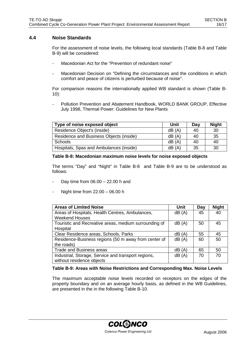# **4.4 Noise Standards**

For the assessment of noise levels, the following local standards (Table B-8 and Table B-9) will be considered:

- Macedonian Act for the "Prevention of redundant noise"
- Macedonian Decision on "Defining the circumstances and the conditions in which comfort and peace of citizens is perturbed because of noise".

For comparison reasons the internationally applied WB standard is shown (Table B-10):

Pollution Prevention and Abatement Handbook, WORLD BANK GROUP, Effective July 1998, Thermal Power: Guidelines for New Plants

| Type of noise exposed object            | Unit  | Day | <b>Night</b> |
|-----------------------------------------|-------|-----|--------------|
| Residence Object's (inside)             | dB(A) | 40  | 30           |
| Residence and Business Objects (inside) | dB(A) | 40  | 35           |
| Schools                                 | dB(A) | 40  | 40           |
| Hospitals, Spas and Ambulances (inside) | dB(A) | 35  | 30           |

#### **Table B-8: Macedonian maximum noise levels for noise exposed objects**

The terms "Day" and "Night" in Table B-8 and Table B-9 are to be understood as follows:

- Day time from  $06.00 22.00$  h and
- Night time from 22.00 06.00 h

| <b>Areas of Limited Noise</b>                         | Unit  | Day | <b>Night</b> |
|-------------------------------------------------------|-------|-----|--------------|
| Areas of Hospitals, Health Centres, Ambulances,       | dB(A) | 45  | 40           |
| <b>Weekend Houses</b>                                 |       |     |              |
| Touristic and Recreative areas, medium surrounding of | dB(A) | 50  | 45           |
| Hospital                                              |       |     |              |
| Clear Residence areas, Schools, Parks                 | dB(A) | 55  | 45           |
| Residence-Business regions (50 m away from center of  | dB(A) | 60  | 50           |
| the roads)                                            |       |     |              |
| <b>Trade and Business areas</b>                       | dB(A) | 65  | 50           |
| Industrial, Storage, Service and transport regions,   | dB(A) | 70  | 70           |
| without residence objects                             |       |     |              |

#### **Table B-9: Areas with Noise Restrictions and Corresponding Max. Noise Levels**

The maximum acceptable noise levels recorded on receptors on the edges of the property boundary and on an average hourly basis, as defined in the WB Guidelines, are presented in the in the following Table B-10.